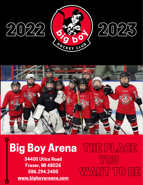







# Big Boy Arena THE PLACE

34400 Utica Road Fraser, MI 48026 586.294.2400 www.bigboyareana.com

 $\setminus\setminus\setminus(0)\vert\,\vert\,\vert$ WANT TO BE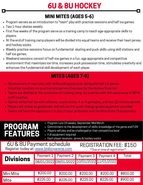## 6U & 8U HOCKEY

#### **LEVEL 1 - LEARN TO PLAY (AGES 4-6)** MINI MITES (AGES 5-6)

- Program serves as an introduction to "team" play with practice sessions and half ice games.
- Two 1-hour skates weekly
- First five weeks of the program serve as a training camp to teach age-appropriate skills to players.
- At the end of training camp players will be divided into equal teams and receive their team jersey and hockey socks.
- Weekly practice sessions focus on fundamental skating and puck skills using skill stations and half ice games.
- Weekend sessions consist of half-ice games in a fun, age appropriate and competitive environment that maximizes ice time, increases puck possession time, stimulates creativity and enhances the fundamental skill development of each player.

#### MITES (AGES 7-8)

- Development of team play with skill building practices along with half ice games
- Volunteer coaches run practice and games (Overseen by the Hockey Director)
- Teams are drafted at the conclusion of training camp, by coaches with the assistance of BBHC staff coaches
- Games will be half ice with referees, score clocks, 4 on 4 gameplay, and two 22-minute periods
- Players will rotate as goaltender and will use the [quick-change](http://www.usahockeygoaltending.com/page/show/2636632-quick-change-goaltender-equipment-sets) goalie equipment provided
- Teams will have the opportunity to play in local jamborees and the Mite State [Championship](http://www.maha.org/page/show/3205898-mite-half-ice-state-championship)

| <b>PROGRAM</b><br><b>FEATURES</b>                                                                                                | • Program runs 24 weeks, September-Mid March<br>Commitment to the development of skills, knowledge of the game and FUN!<br>$\bullet$<br>Players will play and be challenged at their competitive level<br>$\bullet$<br>Full equipment required<br>O<br>Each player receives : jersey & hockey socks<br>$\bullet$ |                                             |           |           |          |  |  |  |  |
|----------------------------------------------------------------------------------------------------------------------------------|------------------------------------------------------------------------------------------------------------------------------------------------------------------------------------------------------------------------------------------------------------------------------------------------------------------|---------------------------------------------|-----------|-----------|----------|--|--|--|--|
| 6U & 8U Payment schedule<br>REGISTRATION FEE: \$150<br>Register today at: www.bigboyarena.com<br>**Due at time of registration** |                                                                                                                                                                                                                                                                                                                  |                                             |           |           |          |  |  |  |  |
| <b>Divisions</b>                                                                                                                 | Payment 1                                                                                                                                                                                                                                                                                                        | Payment 2                                   | Payment 3 | Payment 4 | Total    |  |  |  |  |
|                                                                                                                                  |                                                                                                                                                                                                                                                                                                                  | 08/01/2022 09/01/2022 10/01/2022 11/01/2022 |           |           |          |  |  |  |  |
|                                                                                                                                  |                                                                                                                                                                                                                                                                                                                  |                                             |           |           |          |  |  |  |  |
| Mini Mite                                                                                                                        | \$200.00                                                                                                                                                                                                                                                                                                         | \$200.00                                    | \$200.00  | \$200.00  | \$800.00 |  |  |  |  |
| Mite                                                                                                                             | \$225.00                                                                                                                                                                                                                                                                                                         | \$225.00                                    | \$225.00  | \$225.00  | \$900.00 |  |  |  |  |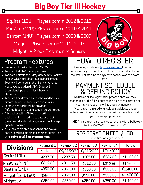### Big Boy Tier III Hockey

Squirts (10U) - Players born in 2012 & 2013 PeeWee (12U) - Players born in 2010 & 2011 Bantam (14U) - Players born in 2008 & 2009 Midget - Players born in 2004 - 2007 Midget JV Prep - Freshmen to Seniors



- Program will run September Mid March
- Teams will skate 2 times per week
- Teams will play in the Adray Community Hockey League which includes travel to local arenas.
- Teams will compete in the Michigan Amateur Hockey Association (MAHA) District 3 Championships at the Tier III hockey classification.
- Teams will be drafted by coaches and hockey director to ensure teams are evenly skilled
- Jerseys and socks will be provided
- Referee fees are not included in program cost
- All coaches will be SafeSport certified, background checked, up to date with CEP (Coaches Educational Program) and online age specific modules
- If you are interested in coaching and have a hockey background please contact Kristin Elsey at kristinelsey@bigboyareana.com

## Program Features HOW TO REGISTER

Online registration at bigboyarena.com. If paying by installments, your credit card will be automatically charged the amount listed in the payments schedule on the exact

date.

#### PAYMENT SCHEDULE & REFUND POLICY

We use an online registration process only. You may choose to pay the full amount at the time of registration or you many choose the online auto payment plan. If your player is injured or unable to participate due to unforeseen circumstances, you remain responsible for all of your players program fees.

\*\*NOTE: All participants are required to register with USA Hockey for the 2022/2023 hockey season\*\*

#### REGISTRATION FEE: \$150 \*\*Due at time of registration\*\*

| <b>Divisions</b> | Payment 1 |                                             | Payment 2 Payment 3 | Payment 4 | Totals     |
|------------------|-----------|---------------------------------------------|---------------------|-----------|------------|
|                  |           | 08/01/2022 09/01/2022 10/01/2022 11/01/2022 |                     |           |            |
| Squirt (10U)     | \$287.50  | \$287.50                                    | \$287.50            | \$287.50  | \$1,100.00 |
| PeeWee (12U)     | \$312.50  | \$312.50                                    | \$312.50            | \$312.50  | \$1,250.00 |
| Bantam (14U)     | \$350.00  | \$350.00                                    | \$350.00            | \$350.00  | \$1,400.00 |
| Midget (16U/18U) | \$350.00  | \$350.00                                    | \$350.00            | \$350.00  | \$1,400.00 |
| Midget JV        | \$350.00  | \$350.00                                    | \$350.00            | \$350.00  | \$1,400.00 |